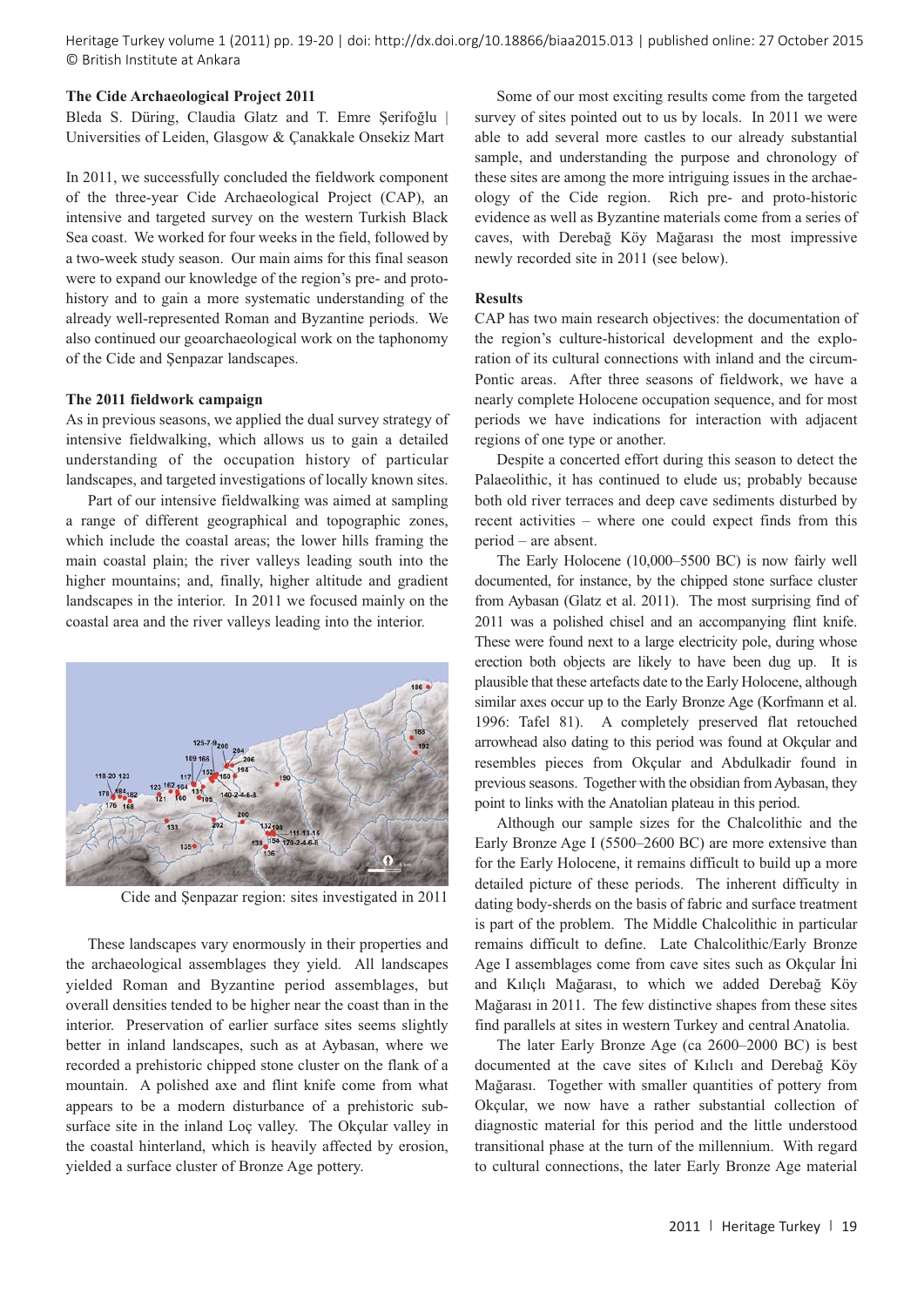Heritage Turkey volume 1 (2011) pp. 19-20 | doi: http://dx.doi.org/10.18866/biaa2015.013 | published online: 27 October 2015 © British Institute at Ankara

# **The Cide Archaeological Project 2011**

Bleda S. Düring, Claudia Glatz and T. Emre Serifoğlu | Universities of Leiden, Glasgow & Çanakkale Onsekiz Mart

In 2011, we successfully concluded the fieldwork component of the three-year Cide Archaeological Project (CAP), an intensive and targeted survey on the western Turkish Black Sea coast. We worked for four weeks in the field, followed by a two-week study season. Our main aims for this final season were to expand our knowledge of the region's pre- and protohistory and to gain a more systematic understanding of the already well-represented Roman and Byzantine periods. We also continued our geoarchaeological work on the taphonomy of the Cide and Şenpazar landscapes.

## **The 2011 fieldwork campaign**

As in previous seasons, we applied the dual survey strategy of intensive fieldwalking, which allows us to gain a detailed understanding of the occupation history of particular landscapes, and targeted investigations of locally known sites.

Part of our intensive fieldwalking was aimed at sampling a range of different geographical and topographic zones, which include the coastal areas; the lower hills framing the main coastal plain; the river valleys leading south into the higher mountains; and, finally, higher altitude and gradient landscapes in the interior. In 2011 we focused mainly on the coastal area and the river valleys leading into the interior.



Cide and Şenpazar region: sites investigated in 2011

These landscapes vary enormously in their properties and the archaeological assemblages they yield. All landscapes yielded Roman and Byzantine period assemblages, but overall densities tended to be higher near the coast than in the interior. Preservation of earlier surface sites seems slightly better in inland landscapes, such as at Aybasan, where we recorded a prehistoric chipped stone cluster on the flank of a mountain. A polished axe and flint knife come from what appears to be a modern disturbance of a prehistoric subsurface site in the inland Loç valley. The Okçular valley in the coastal hinterland, which is heavily affected by erosion, yielded a surface cluster of Bronze Age pottery.

Some of our most exciting results come from the targeted survey of sites pointed out to us by locals. In 2011 we were able to add several more castles to our already substantial sample, and understanding the purpose and chronology of these sites are among the more intriguing issues in the archaeology of the Cide region. Rich pre- and proto-historic evidence as well as Byzantine materials come from a series of caves, with Derebağ Köy Mağarası the most impressive newly recorded site in 2011 (see below).

### **Results**

CAP has two main research objectives: the documentation of the region's culture-historical development and the exploration of its cultural connections with inland and the circum-Pontic areas. After three seasons of fieldwork, we have a nearly complete Holocene occupation sequence, and for most periods we have indications for interaction with adjacent regions of one type or another.

Despite a concerted effort during this season to detect the Palaeolithic, it has continued to elude us; probably because both old river terraces and deep cave sediments disturbed by recent activities – where one could expect finds from this period – are absent.

The Early Holocene (10,000–5500 BC) is now fairly well documented, for instance, by the chipped stone surface cluster from Aybasan (Glatz et al. 2011). The most surprising find of 2011 was a polished chisel and an accompanying flint knife. These were found next to a large electricity pole, during whose erection both objects are likely to have been dug up. It is plausible that these artefacts date to the Early Holocene, although similar axes occur up to the Early Bronze Age (Korfmann et al. 1996: Tafel 81). A completely preserved flat retouched arrowhead also dating to this period was found at Okçular and resembles pieces from Okçular and Abdulkadir found in previous seasons. Together with the obsidian from Aybasan, they point to links with the Anatolian plateau in this period.

Although our sample sizes for the Chalcolithic and the Early Bronze Age I (5500–2600 BC) are more extensive than for the Early Holocene, it remains difficult to build up a more detailed picture of these periods. The inherent difficulty in dating body-sherds on the basis of fabric and surface treatment is part of the problem. The Middle Chalcolithic in particular remains difficult to define. Late Chalcolithic/Early Bronze Age I assemblages come from cave sites such as Okçular İni and Kılıçlı Mağarası, to which we added Derebağ Köy Mağarası in 2011. The few distinctive shapes from these sites find parallels at sites in western Turkey and central Anatolia.

The later Early Bronze Age (ca 2600–2000 BC) is best documented at the cave sites of Kılıclı and Derebağ Köy Mağarası. Together with smaller quantities of pottery from Okçular, we now have a rather substantial collection of diagnostic material for this period and the little understood transitional phase at the turn of the millennium. With regard to cultural connections, the later Early Bronze Age material